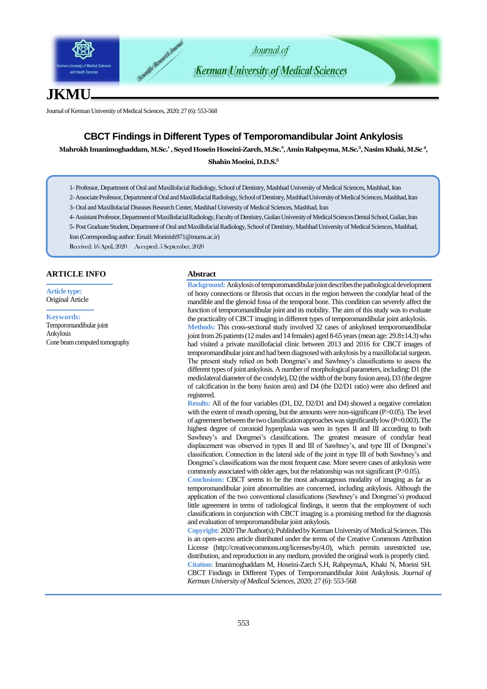

# **JKMU**

Journal of Kerman University of Medical Sciences, 2020; 27 (6): 553-568

# **CBCT Findings in Different Types of Temporomandibular Joint Ankylosis**

**Mahrokh Imanimoghaddam, M.Sc. 1 , Seyed Hosein Hoseini-Zarch, M.Sc.<sup>2</sup> , Amin Rahpeyma, M.Sc. 3 , Nasim Khaki, M.Sc <sup>4</sup> ,** 

**Shahin Moeini, D.D.S. 5**

1- Professor, Department of Oral and Maxillofacial Radiology, School of Dentistry, Mashhad University of Medical Sciences, Mashhad, Iran

2-Associate Professor, Department of Oral and Maxillofacial Radiology, School of Dentistry, Mashhad University of Medical Sciences, Mashhad, Iran 3- Oral and Maxillofacial Diseases Research Center, Mashhad University of Medical Sciences, Mashhad, Iran

4-Assistant Professor, Department of Maxillofacial Radiology, Faculty of Dentistry, Guilan University of Medical Sciences Dental School, Guilan, Iran

5- Post Graduate Student,Department of Oral and Maxillofacial Radiology, School of Dentistry, Mashhad University of Medical Sciences, Mashhad, Iran (Corresponding author: Emai[l: Moeinish971@mums.ac.ir](mailto:Moeinish971@mums.ac.ir))

Received: 16 April, 2020 Accepted: 5 September, 2020

# **ARTICLE INFO**

**Article type:** Original Article

#### **Keywords:**

Temporomandibular joint Ankylosis Cone beam computed tomography

### **Abstract**

**Background:**Ankylosisof temporomandibular joint describes the pathological development of bony connections or fibrosis that occurs in the region between the condylar head of the mandible and the glenoid fossa of the temporal bone. This condition can severely affect the function of temporomandibular joint and its mobility. The aim of this study was to evaluate the practicality of CBCT imaging in different types of temporomandibular joint ankylosis.

**Methods:** This cross-sectional study involved 32 cases of ankylosed temporomandibular joint from 26 patients (12 males and 14 females) aged 8-65 years(mean age: 29.8±14.3) who had visited a private maxillofacial clinic between 2013 and 2016 for CBCT images of temporomandibular joint and had been diagnosed with ankylosis by a maxillofacial surgeon. The present study relied on both Dongmei's and Sawhney's classifications to assess the different types of joint ankylosis. A number of morphological parameters, including: D1 (the mediolateral diameter of the condyle), D2 (the width of the bony fusion area), D3 (the degree of calcification in the bony fusion area) and D4 (the D2/D1 ratio) were also defined and registered.

**Results:** All of the four variables (D1, D2, D2/D1 and D4) showed a negative correlation with the extent of mouth opening, but the amounts were non-significant (P>0.05). The level of agreement between the two classification approaches was significantly low  $(P=0.003)$ . The highest degree of coronoid hyperplasia was seen in types II and III according to both Sawhney's and Dongmei's classifications. The greatest measure of condylar head displacement was observed in types II and III of Sawhney's, and type III of Dongmei's classification. Connection in the lateral side of the joint in type III of both Sawhney's and Dongmei's classifications was the most frequent case. More severe cases of ankylosis were commonly associated with older ages, but the relationship was not significant (P>0.05).

**Conclusions:** CBCT seems to be the most advantageous modality of imaging as far as temporomandibular joint abnormalities are concerned, including ankylosis. Although the application of the two conventional classifications (Sawhney's and Dongmei's) produced little agreement in terms of radiological findings, it seems that the employment of such classifications in conjunction with CBCT imaging is a promising method for the diagnosis and evaluation of temporomandibular joint ankylosis.

**Copyright:** 2020The Author(s); Published by Kerman University of Medical Sciences. This is an open-access article distributed under the terms of the Creative Commons Attribution License (http://creativecommons.org/licenses/by/4.0), which permits unrestricted use, distribution, and reproduction in any medium, provided the original work is properly cited. **Citation:** Imanimoghaddam M, Hoseini-Zarch S.H, RahpeymaA, Khaki N, Moeini SH. CBCT Findings in Different Types of Temporomandibular Joint Ankylosis. *Journal of Kerman University of Medical Sciences*, 2020; 27 (6): 553-568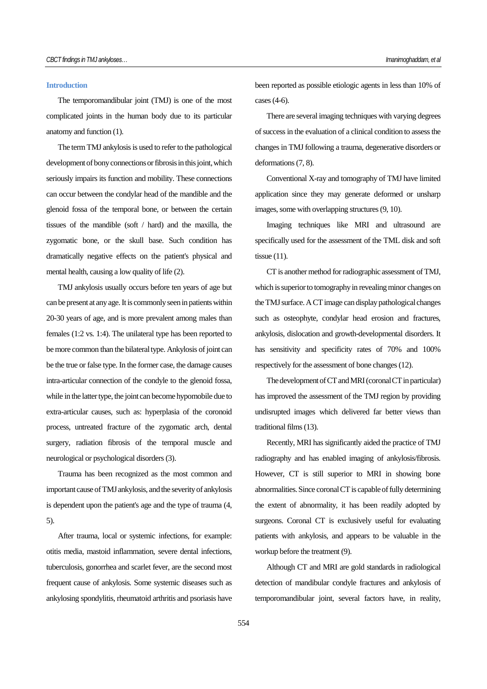# **Introduction**

The temporomandibular joint (TMJ) is one of the most complicated joints in the human body due to its particular anatomy and function (1).

The term TMJ ankylosis is used to refer to the pathological development of bony connections or fibrosis in this joint, which seriously impairs its function and mobility. These connections can occur between the condylar head of the mandible and the glenoid fossa of the temporal bone, or between the certain tissues of the mandible (soft / hard) and the maxilla, the zygomatic bone, or the skull base. Such condition has dramatically negative effects on the patient's physical and mental health, causing a low quality of life (2).

TMJ ankylosis usually occurs before ten years of age but can be present at any age. It is commonly seen in patients within 20-30 years of age, and is more prevalent among males than females (1:2 vs. 1:4). The unilateral type has been reported to be more common than the bilateral type. Ankylosis of joint can be the true or false type. In the former case, the damage causes intra-articular connection of the condyle to the glenoid fossa, while in the latter type, the joint can become hypomobile due to extra-articular causes, such as: hyperplasia of the coronoid process, untreated fracture of the zygomatic arch, dental surgery, radiation fibrosis of the temporal muscle and neurological or psychological disorders (3).

Trauma has been recognized as the most common and important cause of TMJ ankylosis, and the severity of ankylosis is dependent upon the patient's age and the type of trauma (4, 5).

After trauma, local or systemic infections, for example: otitis media, mastoid inflammation, severe dental infections, tuberculosis, gonorrhea and scarlet fever, are the second most frequent cause of ankylosis. Some systemic diseases such as ankylosing spondylitis, rheumatoid arthritis and psoriasis have been reported as possible etiologic agents in less than 10% of cases (4-6).

There are several imaging techniques with varying degrees of success in the evaluation of a clinical condition to assess the changes in TMJ following a trauma, degenerative disorders or deformations (7, 8).

Conventional X-ray and tomography of TMJ have limited application since they may generate deformed or unsharp images, some with overlapping structures (9, 10).

Imaging techniques like MRI and ultrasound are specifically used for the assessment of the TML disk and soft tissue (11).

CT is another method for radiographic assessment of TMJ, which is superior to tomography in revealing minor changes on the TMJ surface. A CT image can display pathological changes such as osteophyte, condylar head erosion and fractures, ankylosis, dislocation and growth-developmental disorders. It has sensitivity and specificity rates of 70% and 100% respectively for the assessment of bone changes (12).

The development of CT and MRI (coronal CT in particular) has improved the assessment of the TMJ region by providing undisrupted images which delivered far better views than traditional films (13).

Recently, MRI has significantly aided the practice of TMJ radiography and has enabled imaging of ankylosis/fibrosis. However, CT is still superior to MRI in showing bone abnormalities.Since coronal CT is capable of fully determining the extent of abnormality, it has been readily adopted by surgeons. Coronal CT is exclusively useful for evaluating patients with ankylosis, and appears to be valuable in the workup before the treatment (9).

Although CT and MRI are gold standards in radiological detection of mandibular condyle fractures and ankylosis of temporomandibular joint, several factors have, in reality,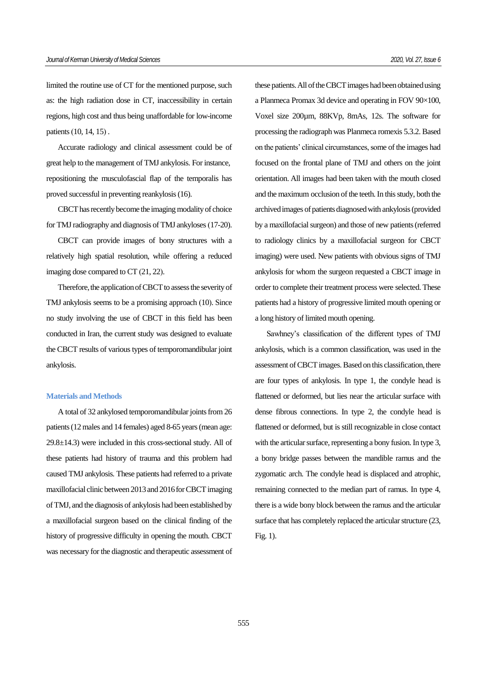limited the routine use of CT for the mentioned purpose, such as: the high radiation dose in CT, inaccessibility in certain regions, high cost and thus being unaffordable for low-income patients (10, 14, 15) .

Accurate radiology and clinical assessment could be of great help to the management of TMJ ankylosis. For instance, repositioning the musculofascial flap of the temporalis has proved successful in preventing reankylosis(16).

CBCT has recently become the imaging modality of choice for TMJ radiography and diagnosis of TMJ ankyloses (17-20).

CBCT can provide images of bony structures with a relatively high spatial resolution, while offering a reduced imaging dose compared to CT (21, 22).

Therefore, the application of CBCT to assess the severity of TMJ ankylosis seems to be a promising approach (10). Since no study involving the use of CBCT in this field has been conducted in Iran, the current study was designed to evaluate the CBCT results of various types of temporomandibular joint ankylosis.

# **Materials and Methods**

A total of 32 ankylosed temporomandibular joints from 26 patients (12 males and 14 females) aged 8-65 years (mean age: 29.8±14.3) were included in this cross-sectional study. All of these patients had history of trauma and this problem had caused TMJ ankylosis. These patients had referred to a private maxillofacial clinic between 2013 and 2016 for CBCT imaging of TMJ, and the diagnosis of ankylosis had been established by a maxillofacial surgeon based on the clinical finding of the history of progressive difficulty in opening the mouth. CBCT was necessary for the diagnostic and therapeutic assessment of these patients. All of the CBCT images had been obtained using a Planmeca Promax 3d device and operating in FOV 90×100, Voxel size 200µm, 88KVp, 8mAs, 12s. The software for processing the radiograph was Planmeca romexis 5.3.2.Based on the patients' clinical circumstances, some of the images had focused on the frontal plane of TMJ and others on the joint orientation. All images had been taken with the mouth closed and the maximum occlusion of the teeth. In this study, both the archived images of patients diagnosed with ankylosis (provided by a maxillofacial surgeon) and those of new patients (referred to radiology clinics by a maxillofacial surgeon for CBCT imaging) were used. New patients with obvious signs of TMJ ankylosis for whom the surgeon requested a CBCT image in order to complete their treatment process were selected. These patients had a history of progressive limited mouth opening or a long history of limited mouth opening.

Sawhney's classification of the different types of TMJ ankylosis, which is a common classification, was used in the assessment of CBCT images. Based on this classification, there are four types of ankylosis. In type 1, the condyle head is flattened or deformed, but lies near the articular surface with dense fibrous connections. In type 2, the condyle head is flattened or deformed, but is still recognizable in close contact with the articular surface, representing a bony fusion. In type 3, a bony bridge passes between the mandible ramus and the zygomatic arch. The condyle head is displaced and atrophic, remaining connected to the median part of ramus. In type 4, there is a wide bony block between the ramus and the articular surface that has completely replaced the articular structure (23, Fig. 1).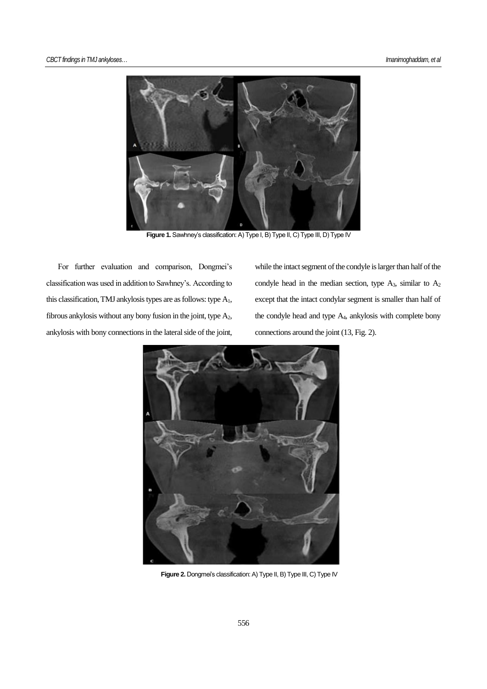

Figure 1. Sawhney's classification: A) Type I, B) Type II, C) Type III, D) Type IV

For further evaluation and comparison, Dongmei's classification was used in addition to Sawhney's. According to this classification, TMJ ankylosis types are as follows: type  $A_1$ , fibrous ankylosis without any bony fusion in the joint, type A2, ankylosis with bony connections in the lateral side of the joint, while the intact segment of the condyle is larger than half of the condyle head in the median section, type  $A_3$ , similar to  $A_2$ except that the intact condylar segment is smaller than half of the condyle head and type A4, ankylosis with complete bony connections around the joint (13, Fig. 2).



**Figure 2.** Dongmei's classification: A) Type II, B) Type III, C) Type IV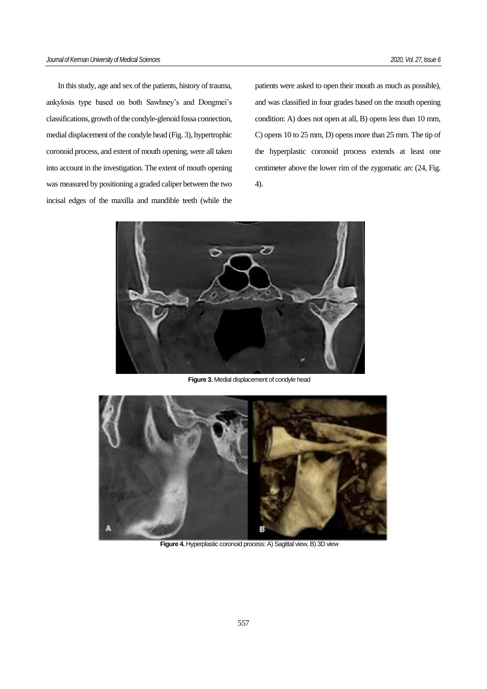In this study, age and sex of the patients, history of trauma, ankylosis type based on both Sawhney's and Dongmei's classifications, growth of the condyle-glenoid fossa connection, medial displacement of the condyle head (Fig. 3), hypertrophic coronoid process, and extent of mouth opening, were all taken into account in the investigation. The extent of mouth opening was measured by positioning a graded caliper between the two incisal edges of the maxilla and mandible teeth (while the patients were asked to open their mouth as much as possible), and was classified in four grades based on the mouth opening condition: A) does not open at all, B) opens less than 10 mm, C) opens 10 to 25 mm, D) opens more than 25 mm. The tip of the hyperplastic coronoid process extends at least one centimeter above the lower rim of the zygomatic arc (24, Fig. 4).



**Figure 3.** Medial displacement of condyle head



**Figure 4.** Hyperplastic coronoid process: A) Sagittal view, B) 3D view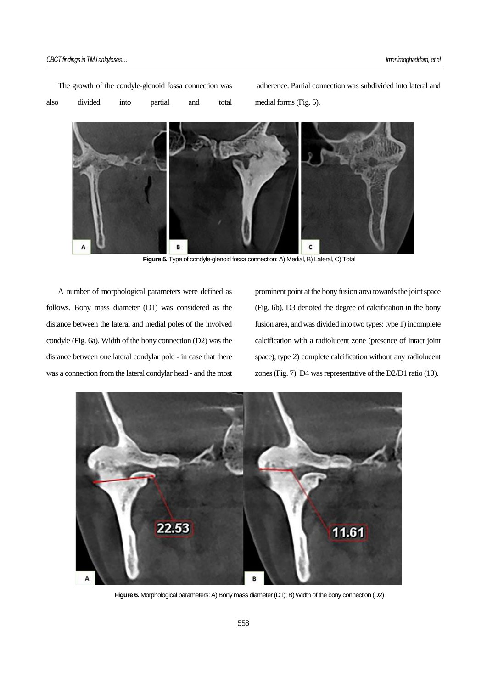The growth of the condyle-glenoid fossa connection was also divided into partial and total

adherence. Partial connection was subdivided into lateral and medial forms (Fig. 5).



**Figure 5.** Type of condyle-glenoid fossa connection: A) Medial, B) Lateral, C) Total

A number of morphological parameters were defined as follows. Bony mass diameter (D1) was considered as the distance between the lateral and medial poles of the involved condyle (Fig. 6a). Width of the bony connection (D2) was the distance between one lateral condylar pole - in case that there was a connection from the lateral condylar head - and the most prominent point at the bony fusion area towards the joint space (Fig. 6b). D3 denoted the degree of calcification in the bony fusion area, and was divided into two types: type 1) incomplete calcification with a radiolucent zone (presence of intact joint space), type 2) complete calcification without any radiolucent zones (Fig. 7). D4 was representative of the D2/D1 ratio (10).



**Figure 6.** Morphological parameters: A) Bony mass diameter (D1); B) Width of the bony connection (D2)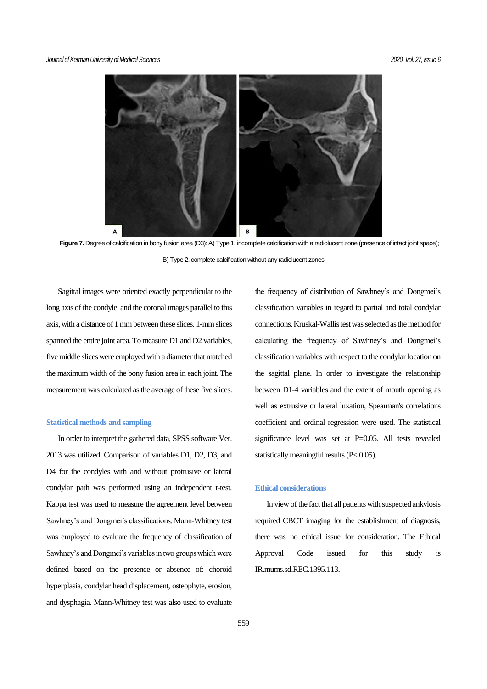

Figure 7. Degree of calcification in bony fusion area (D3): A) Type 1, incomplete calcification with a radiolucent zone (presence of intact joint space); B) Type 2, complete calcification without any radiolucent zones

Sagittal images were oriented exactly perpendicular to the long axis of the condyle, and the coronal images parallel to this axis, with a distance of 1 mm between these slices. 1-mm slices spanned the entire joint area. To measure D1 and D2 variables, five middle slices were employed with a diameter that matched the maximum width of the bony fusion area in each joint. The measurement was calculated as the average of these five slices.

#### **Statistical methods and sampling**

In order to interpret the gathered data, SPSS software Ver. 2013 was utilized. Comparison of variables D1, D2, D3, and D4 for the condyles with and without protrusive or lateral condylar path was performed using an independent t-test. Kappa test was used to measure the agreement level between Sawhney's and Dongmei's classifications. Mann-Whitney test was employed to evaluate the frequency of classification of Sawhney's and Dongmei's variables in two groups which were defined based on the presence or absence of: choroid hyperplasia, condylar head displacement, osteophyte, erosion, and dysphagia. Mann-Whitney test was also used to evaluate

the frequency of distribution of Sawhney's and Dongmei's classification variables in regard to partial and total condylar connections. Kruskal-Wallis test was selected as the method for calculating the frequency of Sawhney's and Dongmei's classification variables with respect to the condylar location on the sagittal plane. In order to investigate the relationship between D1-4 variables and the extent of mouth opening as well as extrusive or lateral luxation, Spearman's correlations coefficient and ordinal regression were used. The statistical significance level was set at P=0.05. All tests revealed statistically meaningful results (P< 0.05).

# **Ethical considerations**

In view of the fact that all patients with suspected ankylosis required CBCT imaging for the establishment of diagnosis, there was no ethical issue for consideration. The Ethical Approval Code issued for this study is IR.mums.sd.REC.1395.113.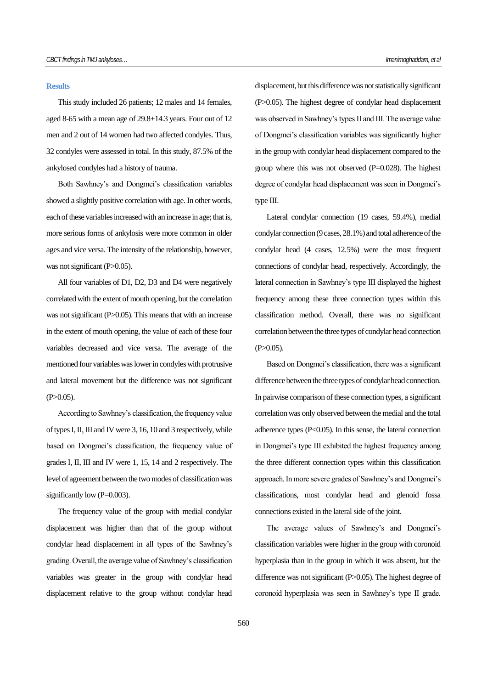#### **Results**

This study included 26 patients; 12 males and 14 females, aged 8-65 with a mean age of 29.8±14.3 years. Four out of 12 men and 2 out of 14 women had two affected condyles. Thus, 32 condyles were assessed in total. In this study, 87.5% of the ankylosed condyles had a history of trauma.

Both Sawhney's and Dongmei's classification variables showed a slightly positive correlation with age. In other words, each of these variables increased with an increase in age; that is, more serious forms of ankylosis were more common in older ages and vice versa. The intensity of the relationship, however, was not significant (P>0.05).

All four variables of D1, D2, D3 and D4 were negatively correlated with the extent of mouth opening, but the correlation was not significant (P>0.05). This means that with an increase in the extent of mouth opening, the value of each of these four variables decreased and vice versa. The average of the mentioned four variables was lower in condyles with protrusive and lateral movement but the difference was not significant  $(P>0.05)$ .

According to Sawhney's classification, the frequency value of types I, II, III and IV were 3, 16, 10 and 3 respectively, while based on Dongmei's classification, the frequency value of grades I, II, III and IV were 1, 15, 14 and 2 respectively. The level of agreement between the two modes of classification was significantly low (P=0.003).

The frequency value of the group with medial condylar displacement was higher than that of the group without condylar head displacement in all types of the Sawhney's grading. Overall, the average value of Sawhney's classification variables was greater in the group with condylar head displacement relative to the group without condylar head

displacement, but this difference was not statisticallysignificant (P>0.05). The highest degree of condylar head displacement was observed in Sawhney's types II and III. The average value of Dongmei's classification variables was significantly higher in the group with condylar head displacement compared to the group where this was not observed (P=0.028). The highest degree of condylar head displacement was seen in Dongmei's type III.

Lateral condylar connection (19 cases, 59.4%), medial condylar connection (9 cases, 28.1%) and total adherence of the condylar head (4 cases, 12.5%) were the most frequent connections of condylar head, respectively. Accordingly, the lateral connection in Sawhney's type III displayed the highest frequency among these three connection types within this classification method. Overall, there was no significant correlation between the three types of condylar head connection  $(P>0.05)$ .

Based on Dongmei's classification, there was a significant difference between the three types of condylar head connection. In pairwise comparison of these connection types, a significant correlation was only observed between the medial and the total adherence types  $(P<0.05)$ . In this sense, the lateral connection in Dongmei's type III exhibited the highest frequency among the three different connection types within this classification approach. In more severe grades of Sawhney's and Dongmei's classifications, most condylar head and glenoid fossa connections existed in the lateral side of the joint.

The average values of Sawhney's and Dongmei's classification variables were higher in the group with coronoid hyperplasia than in the group in which it was absent, but the difference was not significant (P>0.05). The highest degree of coronoid hyperplasia was seen in Sawhney's type II grade.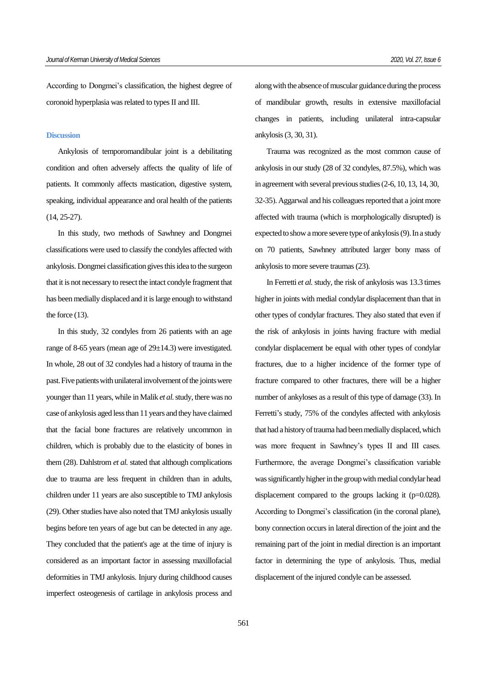According to Dongmei's classification, the highest degree of coronoid hyperplasia was related to types II and III.

### **Discussion**

Ankylosis of temporomandibular joint is a debilitating condition and often adversely affects the quality of life of patients. It commonly affects mastication, digestive system, speaking, individual appearance and oral health of the patients (14, 25-27).

In this study, two methods of Sawhney and Dongmei classifications were used to classify the condyles affected with ankylosis. Dongmei classification gives this idea to the surgeon that it is not necessary to resect the intact condyle fragment that has been medially displaced and it is large enough to withstand the force (13).

In this study, 32 condyles from 26 patients with an age range of 8-65 years (mean age of 29±14.3) were investigated. In whole, 28 out of 32 condyles had a history of trauma in the past. Five patients with unilateral involvement of the joints were younger than 11 years, while in Malik *et al.*study, there was no case of ankylosis aged less than 11 years and they have claimed that the facial bone fractures are relatively uncommon in children, which is probably due to the elasticity of bones in them (28). Dahlstrom *et al.* stated that although complications due to trauma are less frequent in children than in adults, children under 11 years are also susceptible to TMJ ankylosis (29). Other studies have also noted that TMJ ankylosis usually begins before ten years of age but can be detected in any age. They concluded that the patient's age at the time of injury is considered as an important factor in assessing maxillofacial deformities in TMJ ankylosis. Injury during childhood causes imperfect osteogenesis of cartilage in ankylosis process and

along with the absence of muscular guidance during the process of mandibular growth, results in extensive maxillofacial changes in patients, including unilateral intra-capsular ankylosis (3, 30, 31).

Trauma was recognized as the most common cause of ankylosis in our study (28 of 32 condyles, 87.5%), which was in agreement with several previous studies (2-6, 10, 13, 14, 30, 32-35). Aggarwal and his colleagues reported that a joint more affected with trauma (which is morphologically disrupted) is expected to show amore severe type of ankylosis (9). In a study on 70 patients, Sawhney attributed larger bony mass of ankylosis to more severe traumas (23).

In Ferretti *et al.*study, the risk of ankylosis was 13.3 times higher in joints with medial condylar displacement than that in other types of condylar fractures. They also stated that even if the risk of ankylosis in joints having fracture with medial condylar displacement be equal with other types of condylar fractures, due to a higher incidence of the former type of fracture compared to other fractures, there will be a higher number of ankyloses as a result of this type of damage (33). In Ferretti's study, 75% of the condyles affected with ankylosis that had a history of trauma had been medially displaced, which was more frequent in Sawhney's types II and III cases. Furthermore, the average Dongmei's classification variable was significantly higher in the group with medial condylar head displacement compared to the groups lacking it (p=0.028). According to Dongmei's classification (in the coronal plane), bony connection occurs in lateral direction of the joint and the remaining part of the joint in medial direction is an important factor in determining the type of ankylosis. Thus, medial displacement of the injured condyle can be assessed.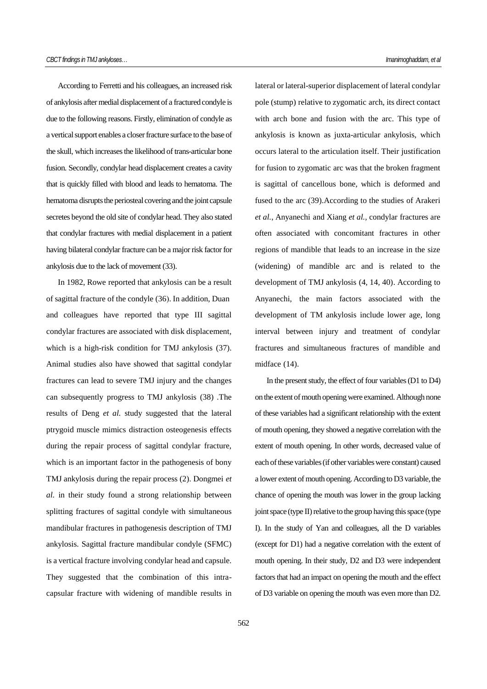According to Ferretti and his colleagues, an increased risk of ankylosis after medial displacement of a fractured condyle is due to the following reasons. Firstly, elimination of condyle as a vertical support enables a closer fracture surface to the base of the skull, which increases the likelihood of trans-articular bone fusion. Secondly, condylar head displacement creates a cavity that is quickly filled with blood and leads to hematoma. The hematoma disrupts the periosteal covering and the joint capsule secretes beyond the old site of condylar head. They also stated that condylar fractures with medial displacement in a patient having bilateral condylar fracture can be a major risk factor for ankylosis due to the lack of movement (33).

In 1982, Rowe reported that ankylosis can be a result of sagittal fracture of the condyle (36). In addition, Duan and colleagues have reported that type III sagittal condylar fractures are associated with disk displacement, which is a high-risk condition for TMJ ankylosis (37). Animal studies also have showed that sagittal condylar fractures can lead to severe TMJ injury and the changes can subsequently progress to TMJ ankylosis (38) .The results of Deng *et al.* study suggested that the lateral ptrygoid muscle mimics distraction osteogenesis effects during the repair process of sagittal condylar fracture, which is an important factor in the pathogenesis of bony TMJ ankylosis during the repair process (2). Dongmei *et al.* in their study found a strong relationship between splitting fractures of sagittal condyle with simultaneous mandibular fractures in pathogenesis description of TMJ ankylosis. Sagittal fracture mandibular condyle (SFMC) is a vertical fracture involving condylar head and capsule. They suggested that the combination of this intracapsular fracture with widening of mandible results in

lateral or lateral-superior displacement of lateral condylar pole (stump) relative to zygomatic arch, its direct contact with arch bone and fusion with the arc. This type of ankylosis is known as juxta-articular ankylosis, which occurs lateral to the articulation itself. Their justification for fusion to zygomatic arc was that the broken fragment is sagittal of cancellous bone, which is deformed and fused to the arc (39).According to the studies of Arakeri *et al.*, Anyanechi and Xiang *et al.,* condylar fractures are often associated with concomitant fractures in other regions of mandible that leads to an increase in the size (widening) of mandible arc and is related to the development of TMJ ankylosis (4, 14, 40). According to Anyanechi, the main factors associated with the development of TM ankylosis include lower age, long interval between injury and treatment of condylar fractures and simultaneous fractures of mandible and midface (14).

In the present study, the effect of four variables(D1 to D4) on the extent of mouth opening were examined. Although none of these variables had a significant relationship with the extent of mouth opening, they showed a negative correlation with the extent of mouth opening. In other words, decreased value of each of these variables (if other variables were constant) caused a lower extent of mouth opening. According to D3 variable, the chance of opening the mouth was lower in the group lacking joint space (type II) relative to the group having this space (type I). In the study of Yan and colleagues, all the D variables (except for D1) had a negative correlation with the extent of mouth opening. In their study, D2 and D3 were independent factors that had an impact on opening the mouth and the effect of D3 variable on opening the mouth was even more than D2.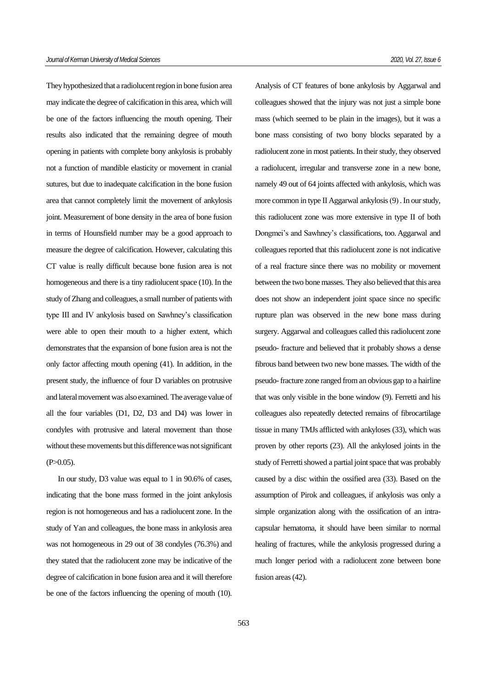They hypothesized that a radiolucent region in bone fusion area may indicate the degree of calcification in this area, which will be one of the factors influencing the mouth opening. Their results also indicated that the remaining degree of mouth opening in patients with complete bony ankylosis is probably not a function of mandible elasticity or movement in cranial sutures, but due to inadequate calcification in the bone fusion area that cannot completely limit the movement of ankylosis joint. Measurement of bone density in the area of bone fusion in terms of Hounsfield number may be a good approach to measure the degree of calcification. However, calculating this CT value is really difficult because bone fusion area is not homogeneous and there is a tiny radiolucent space [\(10\)](https://translate.googleusercontent.com/translate_f#_ENREF_10). In the study of Zhang and colleagues, a small number of patients with type III and IV ankylosis based on Sawhney's classification were able to open their mouth to a higher extent, which demonstrates that the expansion of bone fusion area is not the only factor affecting mouth opening [\(41](https://translate.googleusercontent.com/translate_f#_ENREF_40)). In addition, in the present study, the influence of four D variables on protrusive and lateral movement was also examined. The average value of all the four variables (D1, D2, D3 and D4) was lower in condyles with protrusive and lateral movement than those without these movements but this difference was not significant  $(P>0.05)$ .

In our study, D3 value was equal to 1 in 90.6% of cases, indicating that the bone mass formed in the joint ankylosis region is not homogeneous and has a radiolucent zone. In the study of Yan and colleagues, the bone mass in ankylosis area was not homogeneous in 29 out of 38 condyles (76.3%) and they stated that the radiolucent zone may be indicative of the degree of calcification in bone fusion area and it will therefore be one of the factors influencing the opening of mouth (10).

Analysis of CT features of bone ankylosis by Aggarwal and colleagues showed that the injury was not just a simple bone mass (which seemed to be plain in the images), but it was a bone mass consisting of two bony blocks separated by a radiolucent zone in most patients. In their study, they observed a radiolucent, irregular and transverse zone in a new bone, namely 49 out of 64 joints affected with ankylosis, which was more common in type II Aggarwal ankylosis (9). In our study, this radiolucent zone was more extensive in type II of both Dongmei's and Sawhney's classifications, too. Aggarwal and colleagues reported that this radiolucent zone is not indicative of a real fracture since there was no mobility or movement between the two bone masses. They also believed that this area does not show an independent joint space since no specific rupture plan was observed in the new bone mass during surgery. Aggarwal and colleagues called this radiolucent zone pseudo- fracture and believed that it probably shows a dense fibrous band between two new bone masses. The width of the pseudo-fracture zone ranged from an obvious gap to a hairline that was only visible in the bone window (9). Ferretti and his colleagues also repeatedly detected remains of fibrocartilage tissue in many TMJs afflicted with ankyloses (33), which was proven by other reports (23). All the ankylosed joints in the study of Ferretti showed a partial joint space that was probably caused by a disc within the ossified area (33). Based on the assumption of Pirok and colleagues, if ankylosis was only a simple organization along with the ossification of an intracapsular hematoma, it should have been similar to normal healing of fractures, while the ankylosis progressed during a much longer period with a radiolucent zone between bone fusion areas (42).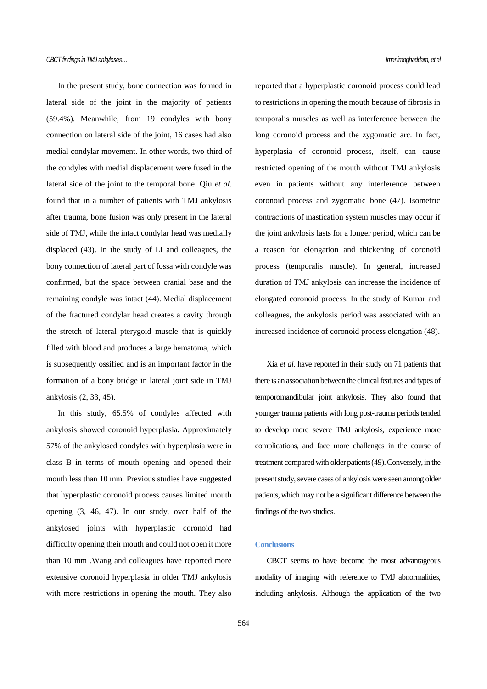In the present study, bone connection was formed in lateral side of the joint in the majority of patients (59.4%). Meanwhile, from 19 condyles with bony connection on lateral side of the joint, 16 cases had also medial condylar movement. In other words, two-third of the condyles with medial displacement were fused in the lateral side of the joint to the temporal bone. Qiu *et al.* found that in a number of patients with TMJ ankylosis after trauma, bone fusion was only present in the lateral side of TMJ, while the intact condylar head was medially displaced (43). In the study of Li and colleagues, the bony connection of lateral part of fossa with condyle was confirmed, but the space between cranial base and the remaining condyle was intact (44). Medial displacement of the fractured condylar head creates a cavity through the stretch of lateral pterygoid muscle that is quickly filled with blood and produces a large hematoma, which is subsequently ossified and is an important factor in the formation of a bony bridge in lateral joint side in TMJ ankylosis (2, 33, 45).

In this study, 65.5% of condyles affected with ankylosis showed coronoid hyperplasia**.** Approximately 57% of the ankylosed condyles with hyperplasia were in class B in terms of mouth opening and opened their mouth less than 10 mm. Previous studies have suggested that hyperplastic coronoid process causes limited mouth opening (3, 46, 47). In our study, over half of the ankylosed joints with hyperplastic coronoid had difficulty opening their mouth and could not open it more than 10 mm .Wang and colleagues have reported more extensive coronoid hyperplasia in older TMJ ankylosis with more restrictions in opening the mouth. They also

reported that a hyperplastic coronoid process could lead to restrictions in opening the mouth because of fibrosis in temporalis muscles as well as interference between the long coronoid process and the zygomatic arc. In fact, hyperplasia of coronoid process, itself, can cause restricted opening of the mouth without TMJ ankylosis even in patients without any interference between coronoid process and zygomatic bone (47). Isometric contractions of mastication system muscles may occur if the joint ankylosis lasts for a longer period, which can be a reason for elongation and thickening of coronoid process (temporalis muscle). In general, increased duration of TMJ ankylosis can increase the incidence of elongated coronoid process. In the study of Kumar and colleagues, the ankylosis period was associated with an increased incidence of coronoid process elongation (48).

Xia *et al.* have reported in their study on 71 patients that there is an association between the clinical features and types of temporomandibular joint ankylosis. They also found that younger trauma patients with long post-trauma periods tended to develop more severe TMJ ankylosis, experience more complications, and face more challenges in the course of treatment compared with older patients (49). Conversely, in the present study, severe cases of ankylosis were seen among older patients, which may not be a significant difference between the findings of the two studies.

# **Conclusions**

CBCT seems to have become the most advantageous modality of imaging with reference to TMJ abnormalities, including ankylosis. Although the application of the two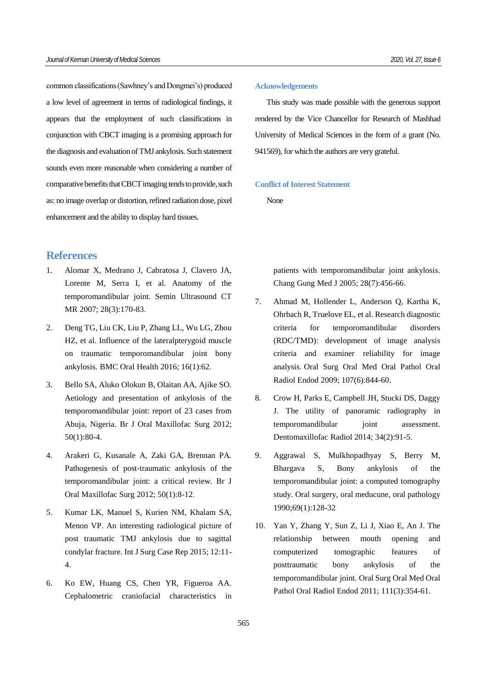common classifications (Sawhney's and Dongmei's) produced a low level of agreement in terms of radiological findings, it appears that the employment of such classifications in conjunction with CBCT imaging is a promising approach for the diagnosis and evaluation of TMJ ankylosis. Such statement sounds even more reasonable when considering a number of comparative benefits that CBCT imaging tends to provide, such as: no image overlap or distortion, refined radiation dose, pixel enhancement and the ability to display hard tissues.

# **References**

- 1. Alomar X, Medrano J, Cabratosa J, Clavero JA, Lorente M, Serra I, et al. Anatomy of the temporomandibular joint. Semin Ultrasound CT MR 2007; 28(3):170-83.
- 2. Deng TG, Liu CK, Liu P, Zhang LL, Wu LG, Zhou HZ, et al. Influence of the lateralpterygoid muscle on traumatic temporomandibular joint bony ankylosis. BMC Oral Health 2016; 16(1):62.
- 3. Bello SA, Aluko Olokun B, Olaitan AA, Ajike SO. Aetiology and presentation of ankylosis of the temporomandibular joint: report of 23 cases from Abuja, Nigeria. Br J Oral Maxillofac Surg 2012; 50(1):80-4.
- 4. Arakeri G, Kusanale A, Zaki GA, Brennan PA. Pathogenesis of post-traumatic ankylosis of the temporomandibular joint: a critical review. Br J Oral Maxillofac Surg 2012; 50(1):8-12.
- 5. Kumar LK, Manuel S, Kurien NM, Khalam SA, Menon VP. An interesting radiological picture of post traumatic TMJ ankylosis due to sagittal condylar fracture. Int J Surg Case Rep 2015; 12:11- 4.
- 6. Ko EW, Huang CS, Chen YR, Figueroa AA. Cephalometric craniofacial characteristics in

#### **Acknowledgements**

This study was made possible with the generous support rendered by the Vice Chancellor for Research of Mashhad University of Medical Sciences in the form of a grant (No. 941569), for which the authors are very grateful.

# **Conflict of Interest Statement**

None

patients with temporomandibular joint ankylosis. Chang Gung Med J 2005; 28(7):456-66.

- 7. Ahmad M, Hollender L, Anderson Q, Kartha K, Ohrbach R, Truelove EL, et al. Research diagnostic criteria for temporomandibular disorders (RDC/TMD): development of image analysis criteria and examiner reliability for image analysis. Oral Surg Oral Med Oral Pathol Oral Radiol Endod 2009; 107(6):844-60.
- 8. Crow H, Parks E, Campbell JH, Stucki DS, Daggy J. The utility of panoramic radiography in temporomandibular joint assessment. Dentomaxillofac Radiol 2014; 34(2):91-5.
- 9. Aggrawal S, Mulkhopadhyay S, Berry M, Bhargava S, Bony ankylosis of the temporomandibular joint: a computed tomography study. Oral surgery, oral meducune, oral pathology 1990;69(1):128-32
- 10. Yan Y, Zhang Y, Sun Z, Li J, Xiao E, An J. The relationship between mouth opening and computerized tomographic features of posttraumatic bony ankylosis of the temporomandibular joint. Oral Surg Oral Med Oral Pathol Oral Radiol Endod 2011; 111(3):354-61.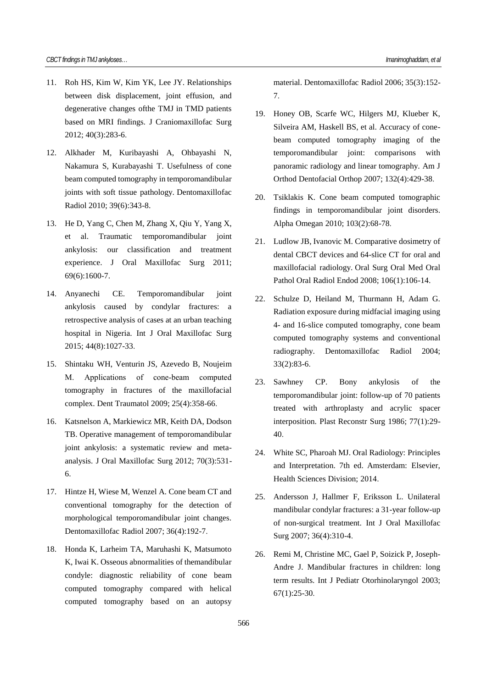- 11. Roh HS, Kim W, Kim YK, Lee JY. Relationships between disk displacement, joint effusion, and degenerative changes ofthe TMJ in TMD patients based on MRI findings. J Craniomaxillofac Surg 2012; 40(3):283-6.
- 12. Alkhader M, Kuribayashi A, Ohbayashi N, Nakamura S, Kurabayashi T. Usefulness of cone beam computed tomography in temporomandibular joints with soft tissue pathology. Dentomaxillofac Radiol 2010; 39(6):343-8.
- 13. He D, Yang C, Chen M, Zhang X, Qiu Y, Yang X, et al. Traumatic temporomandibular joint ankylosis: our classification and treatment experience. J Oral Maxillofac Surg 2011; 69(6):1600-7.
- 14. Anyanechi CE. Temporomandibular joint ankylosis caused by condylar fractures: a retrospective analysis of cases at an urban teaching hospital in Nigeria. Int J Oral Maxillofac Surg 2015; 44(8):1027-33.
- 15. Shintaku WH, Venturin JS, Azevedo B, Noujeim M. Applications of cone-beam computed tomography in fractures of the maxillofacial complex. Dent Traumatol 2009; 25(4):358-66.
- 16. Katsnelson A, Markiewicz MR, Keith DA, Dodson TB. Operative management of temporomandibular joint ankylosis: a systematic review and metaanalysis. J Oral Maxillofac Surg 2012; 70(3):531- 6.
- 17. Hintze H, Wiese M, Wenzel A. Cone beam CT and conventional tomography for the detection of morphological temporomandibular joint changes. Dentomaxillofac Radiol 2007; 36(4):192-7.
- 18. Honda K, Larheim TA, Maruhashi K, Matsumoto K, Iwai K. Osseous abnormalities of themandibular condyle: diagnostic reliability of cone beam computed tomography compared with helical computed tomography based on an autopsy

material. Dentomaxillofac Radiol 2006; 35(3):152- 7.

- 19. Honey OB, Scarfe WC, Hilgers MJ, Klueber K, Silveira AM, Haskell BS, et al. Accuracy of conebeam computed tomography imaging of the temporomandibular joint: comparisons with panoramic radiology and linear tomography. Am J Orthod Dentofacial Orthop 2007; 132(4):429-38.
- 20. Tsiklakis K. Cone beam computed tomographic findings in temporomandibular joint disorders. Alpha Omegan 2010; 103(2):68-78.
- 21. Ludlow JB, Ivanovic M. Comparative dosimetry of dental CBCT devices and 64-slice CT for oral and maxillofacial radiology. Oral Surg Oral Med Oral Pathol Oral Radiol Endod 2008; 106(1):106-14.
- 22. Schulze D, Heiland M, Thurmann H, Adam G. Radiation exposure during midfacial imaging using 4- and 16-slice computed tomography, cone beam computed tomography systems and conventional radiography. Dentomaxillofac Radiol 2004; 33(2):83-6.
- 23. Sawhney CP. Bony ankylosis of the temporomandibular joint: follow-up of 70 patients treated with arthroplasty and acrylic spacer interposition. Plast Reconstr Surg 1986; 77(1):29- 40.
- 24. White SC, Pharoah MJ. Oral Radiology: Principles and Interpretation. 7th ed. Amsterdam: Elsevier, Health Sciences Division; 2014.
- 25. Andersson J, Hallmer F, Eriksson L. Unilateral mandibular condylar fractures: a 31-year follow-up of non-surgical treatment. Int J Oral Maxillofac Surg 2007; 36(4):310-4.
- 26. Remi M, Christine MC, Gael P, Soizick P, Joseph-Andre J. Mandibular fractures in children: long term results. Int J Pediatr Otorhinolaryngol 2003; 67(1):25-30.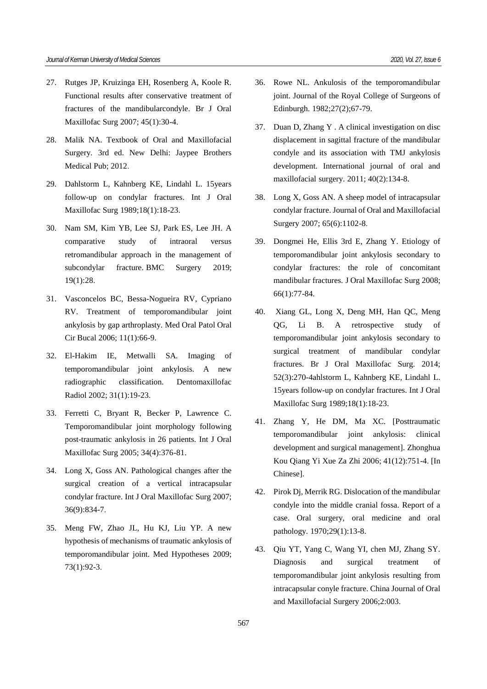- 27. Rutges JP, Kruizinga EH, Rosenberg A, Koole R. Functional results after conservative treatment of fractures of the mandibularcondyle. Br J Oral Maxillofac Surg 2007; 45(1):30-4.
- 28. Malik NA. Textbook of Oral and Maxillofacial Surgery. 3rd ed. New Delhi: Jaypee Brothers Medical Pub; 2012.
- 29. Dahlstorm L, Kahnberg KE, Lindahl L. 15years follow-up on condylar fractures. Int J Oral Maxillofac Surg 1989;18(1):18-23.
- 30. Nam SM, Kim YB, Lee SJ, Park ES, Lee JH. A comparative study of intraoral versus retromandibular approach in the management of subcondylar fracture. BMC Surgery 2019; 19(1):28.
- 31. Vasconcelos BC, Bessa-Nogueira RV, Cypriano RV. Treatment of temporomandibular joint ankylosis by gap arthroplasty. Med Oral Patol Oral Cir Bucal 2006; 11(1):66-9.
- 32. El-Hakim IE, Metwalli SA. Imaging of temporomandibular joint ankylosis. A new radiographic classification. Dentomaxillofac Radiol 2002; 31(1):19-23.
- 33. Ferretti C, Bryant R, Becker P, Lawrence C. Temporomandibular joint morphology following post-traumatic ankylosis in 26 patients. Int J Oral Maxillofac Surg 2005; 34(4):376-81.
- 34. Long X, Goss AN. Pathological changes after the surgical creation of a vertical intracapsular condylar fracture. Int J Oral Maxillofac Surg 2007; 36(9):834-7.
- 35. Meng FW, Zhao JL, Hu KJ, Liu YP. A new hypothesis of mechanisms of traumatic ankylosis of temporomandibular joint. Med Hypotheses 2009; 73(1):92-3.
- 36. Rowe NL. Ankulosis of the temporomandibular joint. Journal of the Royal College of Surgeons of Edinburgh. 1982;27(2);67-79.
- 37. Duan D, Zhang Y . A clinical investigation on disc displacement in sagittal fracture of the mandibular condyle and its association with TMJ ankylosis development. International journal of oral and maxillofacial surgery. 2011; 40(2):134-8.
- 38. Long X, Goss AN. A sheep model of intracapsular condylar fracture. Journal of Oral and Maxillofacial Surgery 2007; 65(6):1102-8.
- 39. Dongmei He, Ellis 3rd E, Zhang Y. Etiology of temporomandibular joint ankylosis secondary to condylar fractures: the role of concomitant mandibular fractures. J Oral Maxillofac Surg 2008; 66(1):77-84.
- 40. Xiang GL, Long X, Deng MH, Han QC, Meng QG, Li B. A retrospective study of temporomandibular joint ankylosis secondary to surgical treatment of mandibular condylar fractures. Br J Oral Maxillofac Surg. 2014; 52(3):270-4ahlstorm L, Kahnberg KE, Lindahl L. 15years follow-up on condylar fractures. Int J Oral Maxillofac Surg 1989;18(1):18-23.
- 41. Zhang Y, He DM, Ma XC. [Posttraumatic temporomandibular joint ankylosis: clinical development and surgical management]. Zhonghua Kou Qiang Yi Xue Za Zhi 2006; 41(12):751-4. [In Chinese].
- 42. Pirok Dj, Merrik RG. Dislocation of the mandibular condyle into the middle cranial fossa. Report of a case. Oral surgery, oral medicine and oral pathology. 1970;29(1):13-8.
- 43. Qiu YT, Yang C, Wang YI, chen MJ, Zhang SY. Diagnosis and surgical treatment of temporomandibular joint ankylosis resulting from intracapsular conyle fracture. China Journal of Oral and Maxillofacial Surgery 2006;2:003.